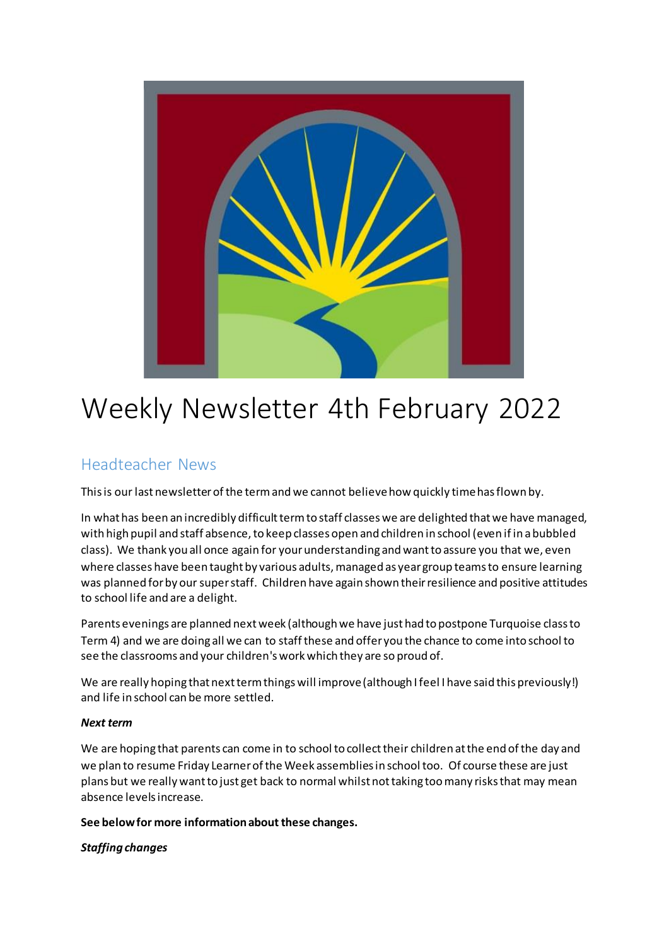

# Weekly Newsletter 4th February 2022

## Headteacher News

This is our last newsletter of the term and we cannot believe how quickly time has flown by.

In what has been an incredibly difficult term to staff classes we are delighted that we have managed, with high pupil and staff absence, to keep classes open and children in school (even if in a bubbled class). We thank you all once again for your understanding and want to assure you that we, even where classes have been taught by various adults, managed as year group teams to ensure learning was planned for by our super staff. Children have again shown their resilience and positive attitudes to school life and are a delight.

Parents evenings are planned next week (although we have just had to postpone Turquoise class to Term 4) and we are doing all we can to staff these and offer you the chance to come into school to see the classrooms and your children's work which they are so proud of.

We are really hoping that next term things will improve (although I feel I have said this previously!) and life in school can be more settled.

## *Next term*

We are hoping that parents can come in to school to collect their children at the end of the day and we plan to resume Friday Learner of the Week assemblies in school too. Of course these are just plans but we really want to just get back to normal whilst not taking too many risks that may mean absence levels increase.

**See below for more information about these changes.**

## *Staffing changes*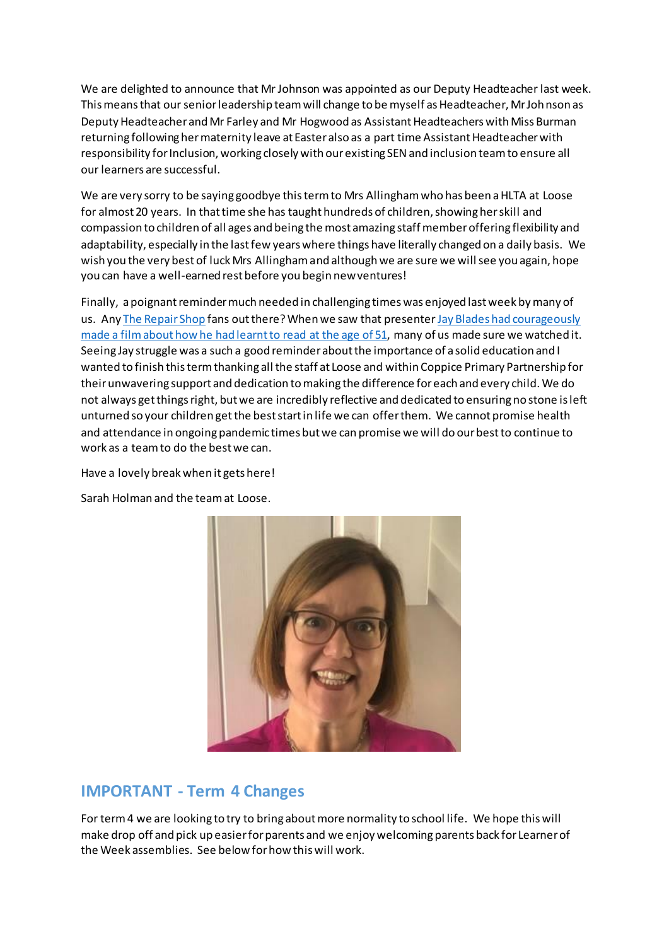We are delighted to announce that Mr Johnson was appointed as our Deputy Headteacher last week. This means that our senior leadership team will change to be myself as Headteacher, Mr Johnson as Deputy Headteacher and Mr Farley and Mr Hogwood as Assistant Headteachers with Miss Burman returning following her maternity leave at Easter also as a part time Assistant Headteacher with responsibility for Inclusion, working closely with our existing SEN and inclusion team to ensure all our learners are successful.

We are very sorry to be saying goodbye this term to Mrs Allingham who has been a HLTA at Loose for almost 20 years. In that time she has taught hundreds of children, showing her skill and compassion to children of all ages and being the most amazing staff member offering flexibility and adaptability, especially in the last few years where things have literally changed on a daily basis. We wish you the very best of luck Mrs Allingham and although we are sure we will see you again, hope you can have a well-earned rest before you begin new ventures!

Finally, a poignant reminder much needed in challenging times was enjoyed last week by many of us. Any [The Repair Shop](https://www.bbc.co.uk/programmes/b08l581p) fans out there? When we saw that presenter Jay Blades had courageously [made a film about how he had learnt to read at the age of 51,](https://www.bbc.co.uk/iplayer/episode/m0013wcj/jay-blades-learning-to-read-at-51) many of us made sure we watched it. Seeing Jay struggle was a such a good reminder about the importance of a solid education and I wanted to finish this term thanking all the staff at Loose and within Coppice Primary Partnership for theirunwavering support and dedication to making the difference for each and every child. We do not always get things right, but we are incredibly reflective and dedicated to ensuring no stone is left unturned so your children get the best start in life we can offer them. We cannot promise health and attendance in ongoing pandemic times but we can promise we will do our best to continue to work as a team to do the best we can.

Have a lovely break when it gets here!

Sarah Holman and the team at Loose.



## **IMPORTANT - Term 4 Changes**

For term 4 we are looking to try to bring about more normality to school life. We hope this will make drop off and pick up easier for parents and we enjoy welcoming parents back for Learner of the Week assemblies. See below for how this will work.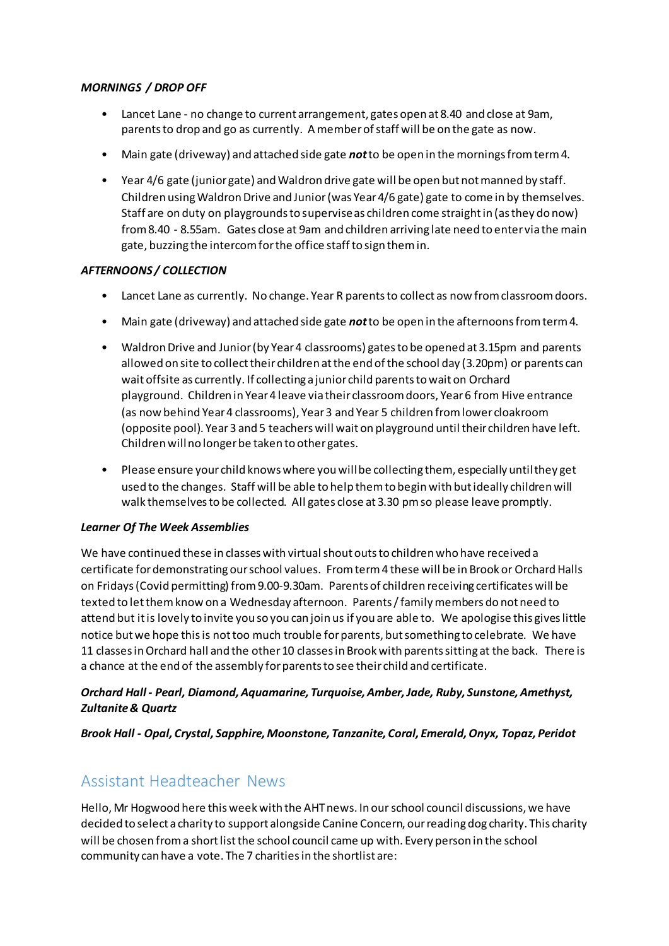## *MORNINGS / DROP OFF*

- Lancet Lane no change to current arrangement, gates open at 8.40 and close at 9am, parents to drop and go as currently. A member of staff will be on the gate as now.
- Main gate (driveway) and attached side gate *not*to be open in the mornings from term 4.
- Year 4/6 gate (junior gate) and Waldron drive gate will be open but not manned by staff. Children using Waldron Drive and Junior (was Year 4/6 gate) gate to come in by themselves. Staff are on duty on playgrounds to supervise as children come straight in (as they do now) from 8.40 - 8.55am. Gates close at 9am and children arriving late need to enter via the main gate, buzzing the intercom for the office staff to sign them in.

## *AFTERNOONS / COLLECTION*

- Lancet Lane as currently. No change. Year R parents to collect as now from classroom doors.
- Main gate (driveway) and attached side gate *not*to be open in the afternoons from term 4.
- Waldron Drive and Junior (by Year 4 classrooms) gates to be opened at 3.15pm and parents allowed on site to collect their children at the end of the school day (3.20pm) or parents can wait offsite as currently. If collecting a junior child parents to wait on Orchard playground. Children in Year 4 leave via their classroom doors, Year 6 from Hive entrance (as now behind Year 4 classrooms), Year 3 and Year 5 children from lower cloakroom (opposite pool). Year 3 and 5 teachers will wait on playground until their children have left. Children will no longer be taken to other gates.
- Please ensure your child knows where you will be collecting them, especially until they get used to the changes. Staff will be able to help them to begin with but ideally children will walk themselves to be collected. All gates close at 3.30 pm so please leave promptly.

## *Learner Of The Week Assemblies*

We have continued these in classes with virtual shout outs to children who have received a certificate for demonstrating our school values. From term 4 these will be in Brook or Orchard Halls on Fridays (Covid permitting) from 9.00-9.30am. Parents of children receiving certificates will be texted to let them know on a Wednesday afternoon. Parents / family members do not need to attend but it is lovely to invite you so you can join us if you are able to. We apologise this gives little notice but we hope this is not too much trouble for parents, but something to celebrate. We have 11 classes in Orchard hall and the other 10 classes in Brook with parents sitting at the back. There is a chance at the end of the assembly for parents to see their child and certificate.

## *Orchard Hall - Pearl, Diamond, Aquamarine, Turquoise, Amber, Jade, Ruby, Sunstone, Amethyst, Zultanite & Quartz*

*Brook Hall - Opal, Crystal, Sapphire, Moonstone, Tanzanite, Coral, Emerald, Onyx, Topaz, Peridot*

## Assistant Headteacher News

Hello, Mr Hogwood here this week with the AHT news. In our school council discussions, we have decided to select a charity to support alongside Canine Concern, our reading dog charity. This charity will be chosen from a short list the school council came up with. Every person in the school community can have a vote. The 7 charities in the shortlist are: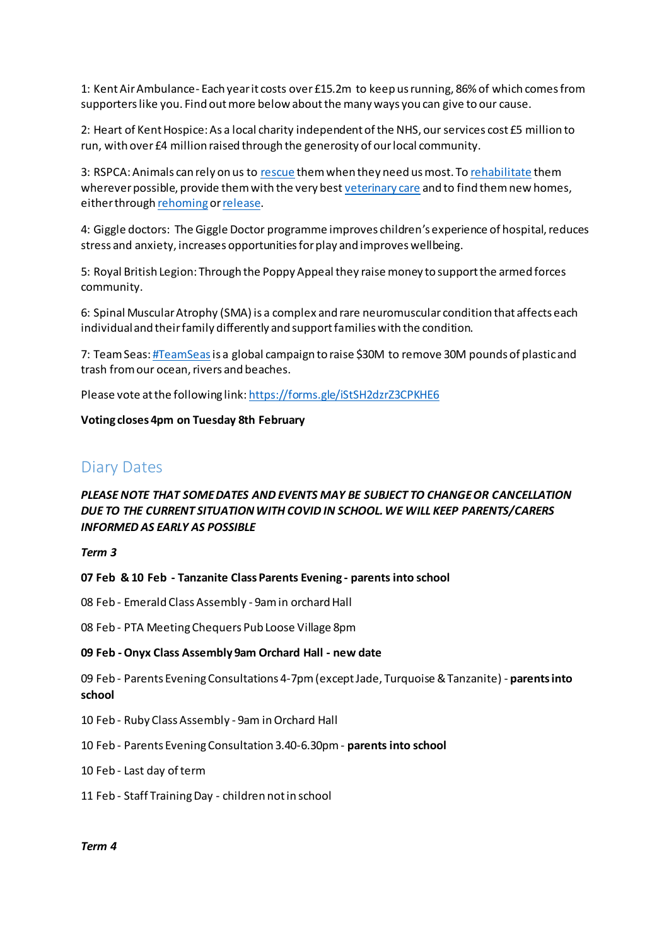1: Kent Air Ambulance- Each year it costs over £15.2m to keep us running, 86% of which comes from supporters like you. Find out more below about the many ways you can give to our cause.

2: Heart of Kent Hospice: As a local charity independent of the NHS, ourservices cost £5 million to run, with over £4 million raised through the generosity of our local community.

3: RSPCA: Animals can rely on us to [rescue](https://www.rspca.org.uk/whatwedo/endcruelty/rescue) them when they need us most. To [rehabilitate](https://www.rspca.org.uk/whatwedo/care/rehabilitation) them wherever possible, provide them with the very best [veterinary care](https://www.rspca.org.uk/whatwedo/care/vetcare) and to find them new homes, either through [rehoming](https://www.rspca.org.uk/findapet/rehomeapet) or release.

4: Giggle doctors: The Giggle Doctor programme improves children's experience of hospital, reduces stress and anxiety, increases opportunities for play and improves wellbeing.

5: Royal British Legion: Through the Poppy Appeal they raise money to support the armed forces community.

6: Spinal Muscular Atrophy (SMA) is a complex and rare neuromuscular condition that affects each individual and their family differently and support families with the condition.

7: Team Seas[: #TeamSeas](https://teamseas.org/)is a global campaign to raise \$30M to remove 30M pounds of plastic and trash from our ocean, rivers and beaches.

Please vote at the following link[: https://forms.gle/iStSH2dzrZ3CPKHE6](https://forms.gle/iStSH2dzrZ3CPKHE6)

#### **Voting closes 4pm on Tuesday 8th February**

## Diary Dates

## *PLEASE NOTE THAT SOME DATES AND EVENTS MAY BE SUBJECT TO CHANGE OR CANCELLATION DUE TO THE CURRENT SITUATION WITH COVID IN SCHOOL. WE WILL KEEP PARENTS/CARERS INFORMED AS EARLY AS POSSIBLE*

*Term 3*

**07 Feb & 10 Feb - Tanzanite Class Parents Evening - parents into school**

08 Feb - Emerald Class Assembly - 9am in orchard Hall

08 Feb - PTA Meeting Chequers Pub Loose Village 8pm

#### **09 Feb -Onyx Class Assembly 9am Orchard Hall - new date**

09 Feb - Parents Evening Consultations 4-7pm (except Jade, Turquoise & Tanzanite) - **parents into school**

10 Feb - Ruby Class Assembly - 9am in Orchard Hall

10 Feb - Parents Evening Consultation 3.40-6.30pm - **parents into school**

10 Feb - Last day of term

11 Feb - Staff Training Day - children not in school

#### *Term 4*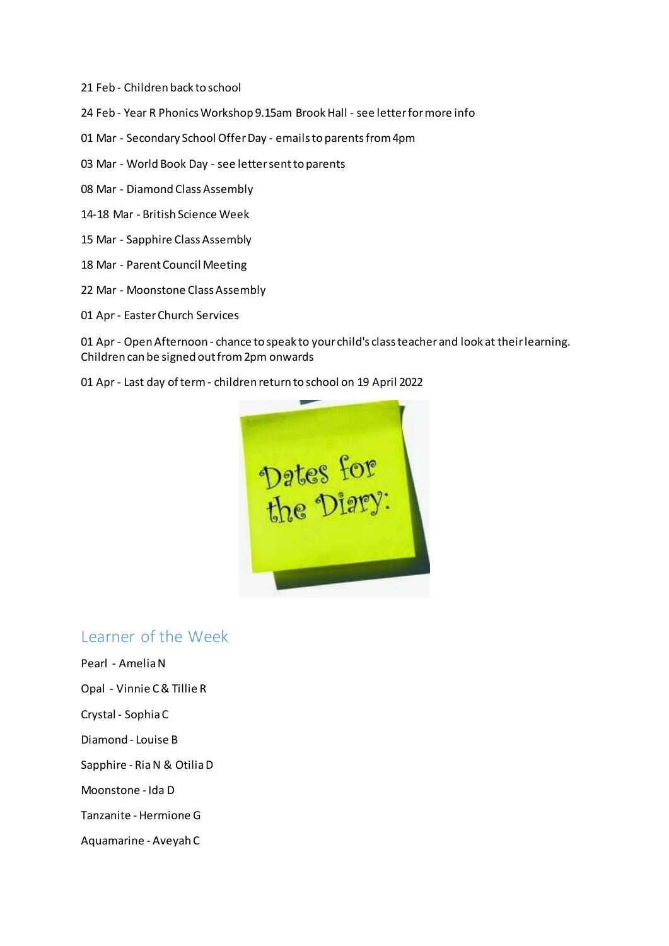- 21 Feb Children back to school
- 24 Feb Year R Phonics Workshop 9.15am Brook Hall see letter for more info
- 01 Mar Secondary School Offer Day emails to parents from 4pm
- 03 Mar World Book Day see letter sent to parents
- 08 Mar Diamond Class Assembly
- 14-18 Mar British Science Week
- 15 Mar Sapphire Class Assembly
- 18 Mar Parent Council Meeting
- 22 Mar Moonstone Class Assembly
- 01 Apr Easter Church Services

01 Apr - Open Afternoon - chance to speak to your child's class teacher and look at their learning. Children can be signed out from 2pm onwards

01 Apr - Last day of term - children return to school on 19 April 2022



## Learner of the Week

Pearl - Amelia N Opal - Vinnie C & Tillie R Crystal - Sophia C Diamond - Louise B Sapphire - Ria N & Otilia D Moonstone - Ida D Tanzanite - Hermione G Aquamarine - Aveyah C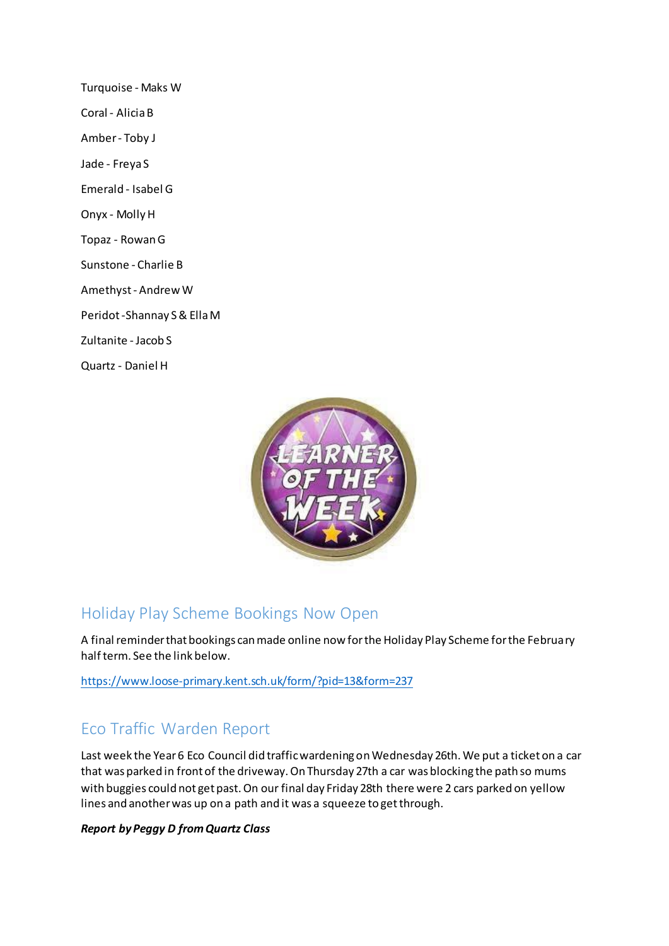Turquoise - Maks W Coral - Alicia B Amber - Toby J Jade - Freya S Emerald - Isabel G Onyx - Molly H Topaz - Rowan G Sunstone - Charlie B Amethyst - Andrew W Peridot -Shannay S & Ella M Zultanite - Jacob S Quartz - Daniel H



# Holiday Play Scheme Bookings Now Open

A final reminder that bookings can made online now for the Holiday Play Scheme for the February half term. See the link below.

<https://www.loose-primary.kent.sch.uk/form/?pid=13&form=237>

# Eco Traffic Warden Report

Last week the Year 6 Eco Council did traffic wardening on Wednesday 26th. We put a ticket on a car that was parked in front of the driveway. On Thursday 27th a car was blocking the path so mums with buggies could not get past. On our final day Friday 28th there were 2 cars parked on yellow lines and another was up on a path and it was a squeeze to get through.

## *Report by Peggy D from Quartz Class*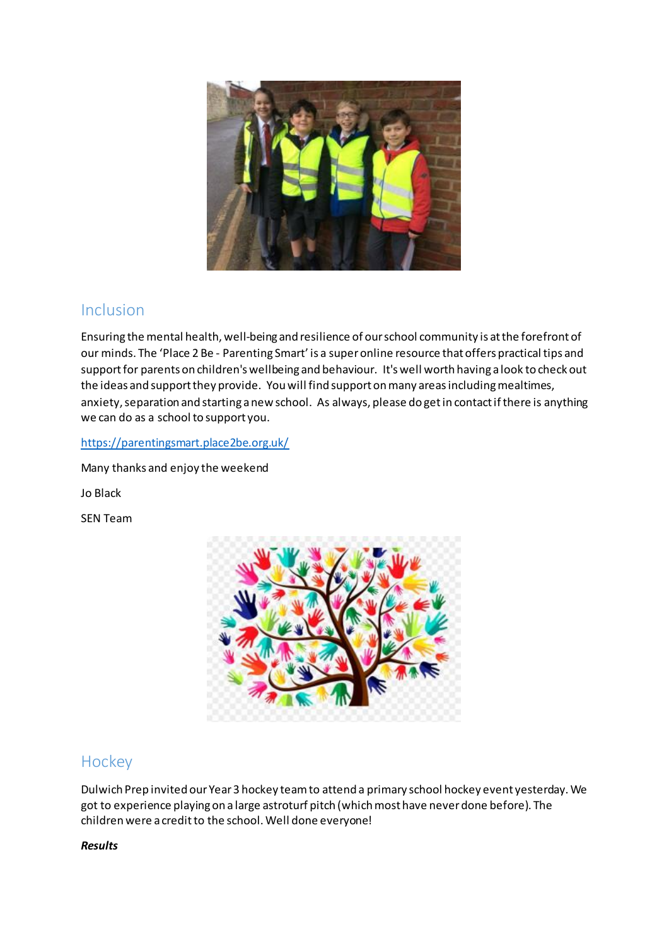

## Inclusion

Ensuring the mental health, well-being and resilience of our school community is at the forefront of our minds. The 'Place 2 Be - Parenting Smart' is a super online resource that offers practical tips and support for parents on children's wellbeing and behaviour. It's well worth having a look to check out the ideas and support they provide. You will find support on many areas including mealtimes, anxiety, separation and starting a new school. As always, please do get in contact if there is anything we can do as a school to support you.

## <https://parentingsmart.place2be.org.uk/>

Many thanks and enjoy the weekend

Jo Black

SEN Team



## **Hockey**

Dulwich Prep invited our Year 3 hockey team to attend a primary school hockey event yesterday. We got to experience playing on a large astroturf pitch (which most have never done before). The children were a credit to the school. Well done everyone!

## *Results*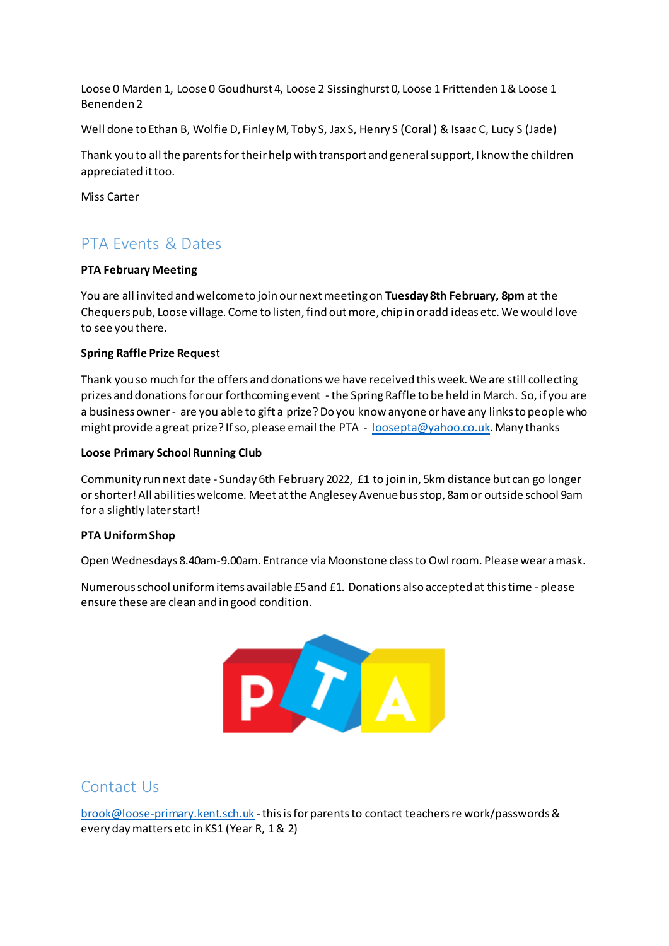Loose 0 Marden 1, Loose 0 Goudhurst 4, Loose 2 Sissinghurst 0, Loose 1 Frittenden 1 & Loose 1 Benenden 2

Well done to Ethan B, Wolfie D, Finley M, Toby S, Jax S, Henry S (Coral ) & Isaac C, Lucy S (Jade)

Thank you to all the parents for their help with transport and general support, I know the children appreciated it too.

Miss Carter

# PTA Events & Dates

## **PTA February Meeting**

You are all invited and welcome to join our next meeting on **Tuesday 8th February, 8pm** at the Chequers pub, Loose village. Come to listen, find out more, chip in or add ideas etc. We would love to see you there.

#### **Spring Raffle Prize Reques**t

Thank you so much for the offers and donations we have received this week. We are still collecting prizes and donations for our forthcoming event - the Spring Raffle to be held in March. So, if you are a business owner - are you able to gift a prize? Do you know anyone or have any links to people who might provide a great prize? If so, please email the PTA - [loosepta@yahoo.co.uk](mailto:loosepta@yahoo.co.uk). Many thanks

#### **Loose Primary School Running Club**

Community run next date - Sunday 6th February 2022, £1 to join in, 5km distance but can go longer or shorter! All abilities welcome. Meet at the Anglesey Avenue bus stop, 8am or outside school 9am for a slightly later start!

## **PTA Uniform Shop**

Open Wednesdays 8.40am-9.00am. Entrance via Moonstone class to Owl room. Please wear a mask.

Numerous school uniform items available £5 and £1. Donations also accepted at this time - please ensure these are clean and in good condition.



## Contact Us

[brook@loose-primary.kent.sch.uk](mailto:brook@loose-primary.kent.sch.uk) -this is for parents to contact teachers re work/passwords & every day matters etc in KS1 (Year R, 1 & 2)